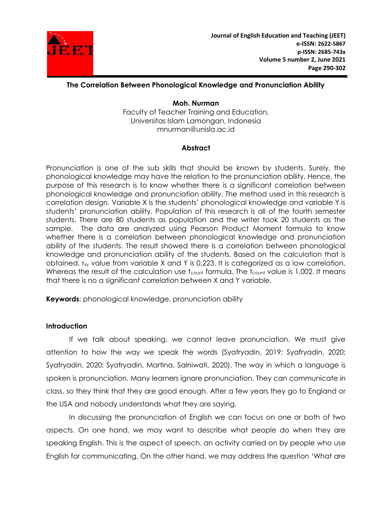

**Moh. Nurman** Faculty of Teacher Training and Education, Universitas Islam Lamongan, Indonesia mnurman@unisla.ac.id

## **Abstract**

Pronunciation is one of the sub skills that should be known by students. Surely, the phonological knowledge may have the relation to the pronunciation ability. Hence, the purpose of this research is to know whether there is a significant correlation between phonological knowledge and pronunciation ability. The method used in this research is correlation design. Variable X is the students" phonological knowledge and variable Y is students" pronunciation ability. Population of this research is all of the fourth semester students. There are 80 students as population and the writer took 20 students as the sample. The data are analyzed using Pearson Product Moment formula to know whether there is a correlation between phonological knowledge and pronunciation ability of the students. The result showed there is a correlation between phonological knowledge and pronunciation ability of the students. Based on the calculation that is obtained, r<sub>xy</sub> value from variable X and Y is 0,223. It is categorized as a low correlation. Whereas the result of the calculation use t<sub>count</sub> formula. The t<sub>count</sub> value is 1,002. It means that there is no a significant correlation between X and Y variable.

**Keywords**: phonological knowledge, pronunciation ability

### **Introduction**

If we talk about speaking, we cannot leave pronunciation. We must give attention to how the way we speak the words (Syafryadin, 2019; Syafryadin, 2020; Syafryadin, 2020; Syafryadin, Martina, Salniwati, 2020). The way in which a language is spoken is pronunciation. Many learners ignore pronunciation. They can communicate in class, so they think that they are good enough. After a few years they go to England or the USA and nobody understands what they are saying.

In discussing the pronunciation of English we can focus on one or both of two aspects. On one hand, we may want to describe what people do when they are speaking English. This is the aspect of speech, an activity carried on by people who use English for communicating. On the other hand, we may address the question "What are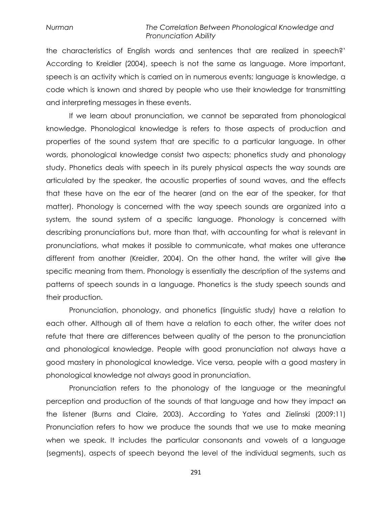the characteristics of English words and sentences that are realized in speech?" According to Kreidler (2004), speech is not the same as language. More important, speech is an activity which is carried on in numerous events; language is knowledge, a code which is known and shared by people who use their knowledge for transmitting and interpreting messages in these events.

If we learn about pronunciation, we cannot be separated from phonological knowledge. Phonological knowledge is refers to those aspects of production and properties of the sound system that are specific to a particular language. In other words, phonological knowledge consist two aspects; phonetics study and phonology study. Phonetics deals with speech in its purely physical aspects the way sounds are articulated by the speaker, the acoustic properties of sound waves, and the effects that these have on the ear of the hearer (and on the ear of the speaker, for that matter). Phonology is concerned with the way speech sounds are organized into a system, the sound system of a specific language. Phonology is concerned with describing pronunciations but, more than that, with accounting for what is relevant in pronunciations, what makes it possible to communicate, what makes one utterance different from another (Kreidler, 2004). On the other hand, the writer will give the specific meaning from them. Phonology is essentially the description of the systems and patterns of speech sounds in a language. Phonetics is the study speech sounds and their production.

Pronunciation, phonology, and phonetics (linguistic study) have a relation to each other. Although all of them have a relation to each other, the writer does not refute that there are differences between quality of the person to the pronunciation and phonological knowledge. People with good pronunciation not always have a good mastery in phonological knowledge. Vice versa, people with a good mastery in phonological knowledge not always good in pronunciation.

Pronunciation refers to the phonology of the language or the meaningful perception and production of the sounds of that language and how they impact on the listener (Burns and Claire, 2003). According to Yates and Zielinski (2009:11) Pronunciation refers to how we produce the sounds that we use to make meaning when we speak. It includes the particular consonants and vowels of a language (segments), aspects of speech beyond the level of the individual segments, such as

291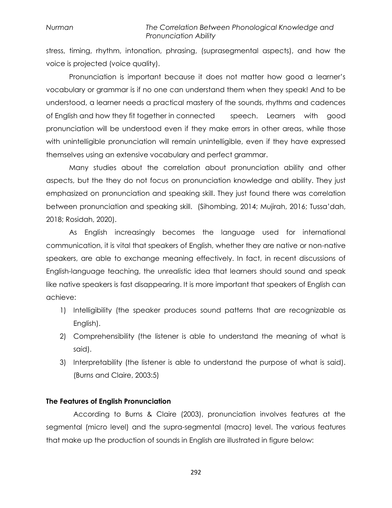stress, timing, rhythm, intonation, phrasing, (suprasegmental aspects), and how the voice is projected (voice quality).

Pronunciation is important because it does not matter how good a learner"s vocabulary or grammar is if no one can understand them when they speak! And to be understood, a learner needs a practical mastery of the sounds, rhythms and cadences of English and how they fit together in connected speech. Learners with good pronunciation will be understood even if they make errors in other areas, while those with unintelligible pronunciation will remain unintelligible, even if they have expressed themselves using an extensive vocabulary and perfect grammar.

Many studies about the correlation about pronunciation ability and other aspects, but the they do not focus on pronunciation knowledge and ability. They just emphasized on pronunciation and speaking skill. They just found there was correlation between pronunciation and speaking skill. (Sihombing, 2014; Mujirah, 2016; Tussa"dah, 2018; Rosidah, 2020).

As English increasingly becomes the language used for international communication, it is vital that speakers of English, whether they are native or non-native speakers, are able to exchange meaning effectively. In fact, in recent discussions of English-language teaching, the unrealistic idea that learners should sound and speak like native speakers is fast disappearing. It is more important that speakers of English can achieve:

- 1) Intelligibility (the speaker produces sound patterns that are recognizable as English).
- 2) Comprehensibility (the listener is able to understand the meaning of what is said).
- 3) Interpretability (the listener is able to understand the purpose of what is said). (Burns and Claire, 2003:5)

### **The Features of English Pronunciation**

According to Burns & Claire (2003), pronunciation involves features at the segmental (micro level) and the supra-segmental (macro) level. The various features that make up the production of sounds in English are illustrated in figure below: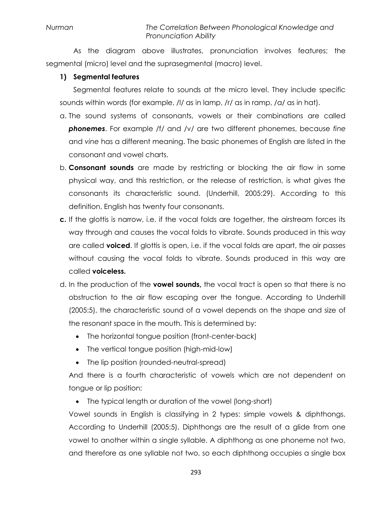As the diagram above illustrates, pronunciation involves features; the segmental (micro) level and the suprasegmental (macro) level.

## **1) Segmental features**

Segmental features relate to sounds at the micro level. They include specific sounds within words (for example, /l/ as in lamp, /r/ as in ramp, /a/ as in hat).

- a. The sound systems of consonants, vowels or their combinations are called *phonemes*. For example /f/ and /v/ are two different phonemes, because *fine* and *vine* has a different meaning. The basic phonemes of English are listed in the consonant and vowel charts.
- b. **Consonant sounds** are made by restricting or blocking the air flow in some physical way, and this restriction, or the release of restriction, is what gives the consonants its characteristic sound. (Underhill, 2005:29). According to this definition, English has twenty four consonants.
- **c.** If the glottis is narrow, i.e. if the vocal folds are together, the airstream forces its way through and causes the vocal folds to vibrate. Sounds produced in this way are called **voiced**. If glottis is open, i.e. if the vocal folds are apart, the air passes without causing the vocal folds to vibrate. Sounds produced in this way are called **voiceless.**
- d. In the production of the **vowel sounds,** the vocal tract is open so that there is no obstruction to the air flow escaping over the tongue. According to Underhill (2005:5), the characteristic sound of a vowel depends on the shape and size of the resonant space in the mouth. This is determined by:
	- The horizontal tongue position (front-center-back)
	- The vertical tongue position (high-mid-low)
	- The lip position (rounded-neutral-spread)

And there is a fourth characteristic of vowels which are not dependent on tongue or lip position:

• The typical length or duration of the vowel (long-short)

Vowel sounds in English is classifying in 2 types: simple vowels & diphthongs. According to Underhill (2005:5), Diphthongs are the result of a glide from one vowel to another within a single syllable. A diphthong as one phoneme not two, and therefore as one syllable not two, so each diphthong occupies a single box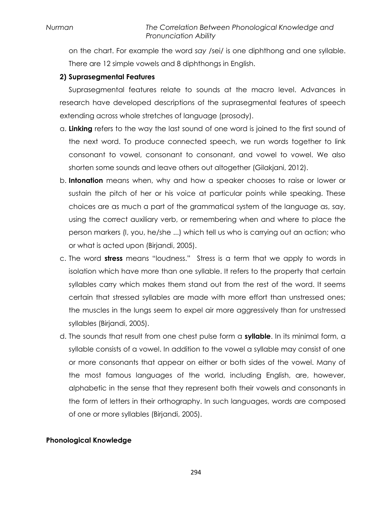on the chart. For example the word *say* /sei/ is one diphthong and one syllable. There are 12 simple vowels and 8 diphthongs in English.

## **2) Suprasegmental Features**

Suprasegmental features relate to sounds at the macro level. Advances in research have developed descriptions of the suprasegmental features of speech extending across whole stretches of language (prosody).

- a. **Linking** refers to the way the last sound of one word is joined to the first sound of the next word. To produce connected speech, we run words together to link consonant to vowel, consonant to consonant, and vowel to vowel. We also shorten some sounds and leave others out altogether (Gilakjani, 2012).
- b. **Intonation** means when, why and how a speaker chooses to raise or lower or sustain the pitch of her or his voice at particular points while speaking. These choices are as much a part of the grammatical system of the language as, say, using the correct auxiliary verb, or remembering when and where to place the person markers (I, you, he/she ...) which tell us who is carrying out an action; who or what is acted upon (Birjandi, 2005).
- c. The word **stress** means "loudness." Stress is a term that we apply to words in isolation which have more than one syllable. It refers to the property that certain syllables carry which makes them stand out from the rest of the word. It seems certain that stressed syllables are made with more effort than unstressed ones; the muscles in the lungs seem to expel air more aggressively than for unstressed syllables (Birjandi, 2005).
- d. The sounds that result from one chest pulse form a **syllable**. In its minimal form, a syllable consists of a vowel. In addition to the vowel a syllable may consist of one or more consonants that appear on either or both sides of the vowel. Many of the most famous languages of the world, including English, are, however, alphabetic in the sense that they represent both their vowels and consonants in the form of letters in their orthography. In such languages, words are composed of one or more syllables (Birjandi, 2005).

## **Phonological Knowledge**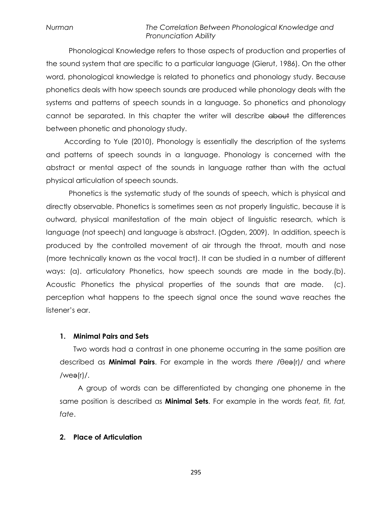Phonological Knowledge refers to those aspects of production and properties of the sound system that are specific to a particular language (Gierut, 1986). On the other word, phonological knowledge is related to phonetics and phonology study. Because phonetics deals with how speech sounds are produced while phonology deals with the systems and patterns of speech sounds in a language. So phonetics and phonology cannot be separated. In this chapter the writer will describe about the differences between phonetic and phonology study.

According to Yule (2010), Phonology is essentially the description of the systems and patterns of speech sounds in a language. Phonology is concerned with the abstract or mental aspect of the sounds in language rather than with the actual physical articulation of speech sounds.

Phonetics is the systematic study of the sounds of speech, which is physical and directly observable. Phonetics is sometimes seen as not properly linguistic, because it is outward, physical manifestation of the main object of linguistic research, which is language (not speech) and language is abstract. (Ogden, 2009). In addition, speech is produced by the controlled movement of air through the throat, mouth and nose (more technically known as the vocal tract). It can be studied in a number of different ways: (a). articulatory Phonetics, how speech sounds are made in the body.(b). Acoustic Phonetics the physical properties of the sounds that are made. (c). perception what happens to the speech signal once the sound wave reaches the listener"s ear.

#### **1. Minimal Pairs and Sets**

Two words had a contrast in one phoneme occurring in the same position are described as **Minimal Pairs**. For example in the words *there* /θeǝ(r)/ and *where*  $/$ weǝ(r) $/$ .

A group of words can be differentiated by changing one phoneme in the same position is described as **Minimal Sets**. For example in the words *feat, fit, fat, fate*.

### **2. Place of Articulation**

295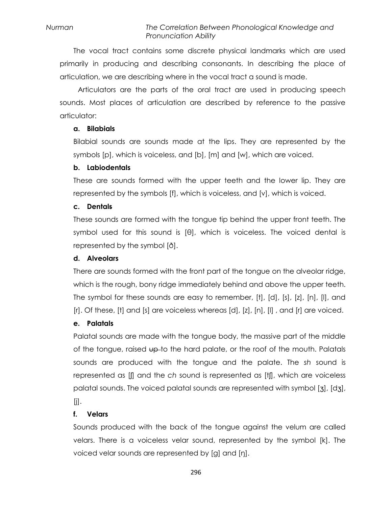The vocal tract contains some discrete physical landmarks which are used primarily in producing and describing consonants. In describing the place of articulation, we are describing where in the vocal tract a sound is made.

Articulators are the parts of the oral tract are used in producing speech sounds. Most places of articulation are described by reference to the passive articulator:

## **a. Bilabials**

Bilabial sounds are sounds made at the lips. They are represented by the symbols [p], which is voiceless, and [b], [m] and [w], which are voiced.

## **b. Labiodentals**

These are sounds formed with the upper teeth and the lower lip. They are represented by the symbols [f], which is voiceless, and [v], which is voiced.

## **c. Dentals**

These sounds are formed with the tongue tip behind the upper front teeth. The symbol used for this sound is [θ], which is voiceless. The voiced dental is represented by the symbol [ð].

## **d. Alveolars**

There are sounds formed with the front part of the tongue on the alveolar ridge, which is the rough, bony ridge immediately behind and above the upper teeth. The symbol for these sounds are easy to remember, [t], [d], [s], [z], [n], [l], and [r]. Of these, [t] and [s] are voiceless whereas [d], [z], [n], [l], and [r] are voiced.

## **e. Palatals**

Palatal sounds are made with the tongue body, the massive part of the middle of the tongue, raised up-to the hard palate, or the roof of the mouth. Palatals sounds are produced with the tongue and the palate. The *sh* sound is represented as [ʃ] and the *ch* sound is represented as [tʃ], which are voiceless palatal sounds. The voiced palatal sounds are represented with symbol [ʒ], [dʒ],  $[|]$ .

### **f. Velars**

Sounds produced with the back of the tongue against the velum are called velars. There is a voiceless velar sound, represented by the symbol [k]. The voiced velar sounds are represented by [g] and [ŋ].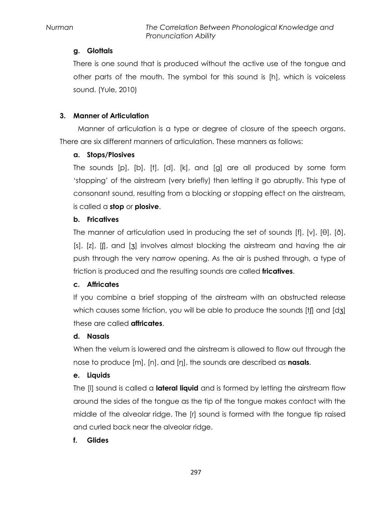# **g. Glottals**

There is one sound that is produced without the active use of the tongue and other parts of the mouth. The symbol for this sound is [h], which is voiceless sound. (Yule, 2010)

# **3. Manner of Articulation**

Manner of articulation is a type or degree of closure of the speech organs. There are six different manners of articulation. These manners as follows:

# **a. Stops/Plosives**

The sounds [p], [b], [t], [d], [k], and [g] are all produced by some form "stopping" of the airstream (very briefly) then letting it go abruptly. This type of consonant sound, resulting from a blocking or stopping effect on the airstream, is called a **stop** or **plosive**.

# **b. Fricatives**

The manner of articulation used in producing the set of sounds [f], [v], [θ], [ð], [s], [z], [f], and [3] involves almost blocking the airstream and having the air push through the very narrow opening. As the air is pushed through, a type of friction is produced and the resulting sounds are called **fricatives**.

# **c. Affricates**

If you combine a brief stopping of the airstream with an obstructed release which causes some friction, you will be able to produce the sounds [t] and [dʒ] these are called **affricates**.

## **d. Nasals**

When the velum is lowered and the airstream is allowed to flow out through the nose to produce [m], [n], and [ŋ], the sounds are described as **nasals**.

## **e. Liquids**

The [l] sound is called a **lateral liquid** and is formed by letting the airstream flow around the sides of the tongue as the tip of the tongue makes contact with the middle of the alveolar ridge. The [r] sound is formed with the tongue tip raised and curled back near the alveolar ridge.

## **f. Glides**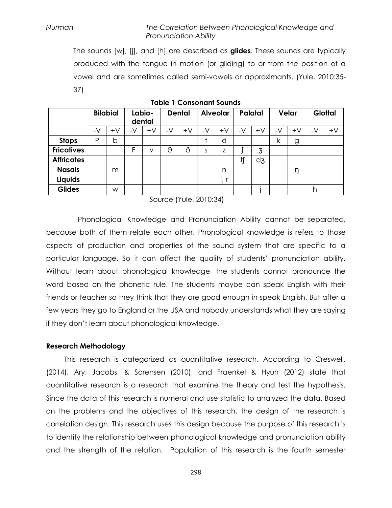The sounds [w], [j], and [h] are described as **glides**. These sounds are typically produced with the tongue in motion (or gliding) to or from the position of a vowel and are sometimes called semi-vowels or approximants. (Yule, 2010:35- 37)

|                   | <b>Bilabial</b> |      | Labio-<br>dental |      | <b>Dental</b> |      | <b>Alveolar</b> |      | Palatal |         | Velar |      | <b>Glottal</b> |      |
|-------------------|-----------------|------|------------------|------|---------------|------|-----------------|------|---------|---------|-------|------|----------------|------|
|                   | -V              | $+V$ | -V               | $+V$ | -V            | $+V$ | -V              | $+V$ | -V      | $+\vee$ | -V    | $+V$ | -V             | $+V$ |
| <b>Stops</b>      | Ρ               | b    |                  |      |               |      |                 | d    |         |         | k     | g    |                |      |
| <b>Fricatives</b> |                 |      | F                | ν    | θ             | ð    | S               | Z    |         | 3       |       |      |                |      |
| <b>Affricates</b> |                 |      |                  |      |               |      |                 |      |         | dz      |       |      |                |      |
| <b>Nasals</b>     |                 | m    |                  |      |               |      |                 | n    |         |         |       | ŋ    |                |      |
| Liquids           |                 |      |                  |      |               |      |                 | l, r |         |         |       |      |                |      |
| <b>Glides</b>     |                 | W    |                  |      |               |      |                 |      |         |         |       |      | h              |      |

**Table 1 Consonant Sounds**

Source (Yule, 2010:34)

Phonological Knowledge and Pronunciation Ability cannot be separated, because both of them relate each other. Phonological knowledge is refers to those aspects of production and properties of the sound system that are specific to a particular language. So it can affect the quality of students" pronunciation ability. Without learn about phonological knowledge, the students cannot pronounce the word based on the phonetic rule. The students maybe can speak English with their friends or teacher so they think that they are good enough in speak English. But after a few years they go to England or the USA and nobody understands what they are saying if they don"t learn about phonological knowledge.

### **Research Methodology**

This research is categorized as quantitative research. According to Creswell, (2014), Ary, Jacobs, & Sorensen (2010), and Fraenkel & Hyun (2012) state that quantitative research is a research that examine the theory and test the hypothesis. Since the data of this research is numeral and use statistic to analyzed the data. Based on the problems and the objectives of this research, the design of the research is correlation design. This research uses this design because the purpose of this research is to identify the relationship between phonological knowledge and pronunciation ability and the strength of the relation. Population of this research is the fourth semester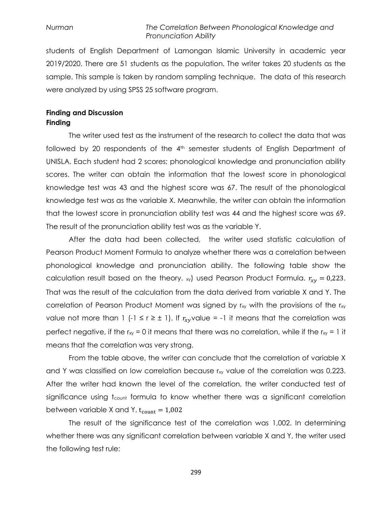students of English Department of Lamongan Islamic University in academic year 2019/2020. There are 51 students as the population. The writer takes 20 students as the sample. This sample is taken by random sampling technique. The data of this research were analyzed by using SPSS 25 software program.

### **Finding and Discussion Finding**

The writer used test as the instrument of the research to collect the data that was followed by 20 respondents of the 4<sup>th</sup> semester students of English Department of UNISLA. Each student had 2 scores; phonological knowledge and pronunciation ability scores. The writer can obtain the information that the lowest score in phonological knowledge test was 43 and the highest score was 67. The result of the phonological knowledge test was as the variable X. Meanwhile, the writer can obtain the information that the lowest score in pronunciation ability test was 44 and the highest score was 69. The result of the pronunciation ability test was as the variable Y.

After the data had been collected, the writer used statistic calculation of Pearson Product Moment Formula to analyze whether there was a correlation between phonological knowledge and pronunciation ability. The following table show the calculation result based on the theory.  $_{xy}$ ) used Pearson Product Formula.  $r_{xy} = 0.223$ . That was the result of the calculation from the data derived from variable X and Y. The correlation of Pearson Product Moment was signed by  $r_{xy}$  with the provisions of the  $r_{xy}$ value not more than 1 (-1  $\leq$  r  $\geq$   $\pm$  1). If  $r_{xy}$ value = -1 it means that the correlation was perfect negative, if the  $r_{xy} = 0$  it means that there was no correlation, while if the  $r_{xy} = 1$  it means that the correlation was very strong.

From the table above, the writer can conclude that the correlation of variable X and Y was classified on low correlation because rxy value of the correlation was 0,223. After the writer had known the level of the correlation, the writer conducted test of significance using t<sub>count</sub> formula to know whether there was a significant correlation between variable X and Y.  $t_{\text{count}} = 1,002$ 

The result of the significance test of the correlation was 1,002. In determining whether there was any significant correlation between variable X and Y, the writer used the following test rule:

299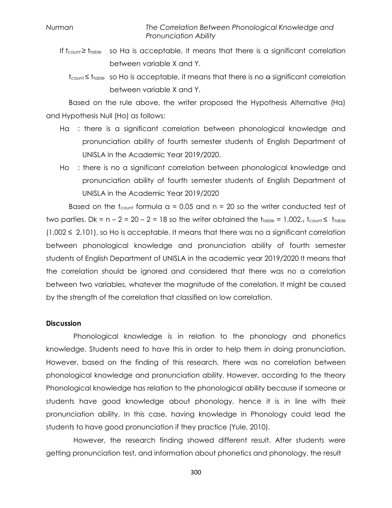- If  $t_{\text{count}} \geq t_{\text{table}}$  so Ha is acceptable, it means that there is a significant correlation between variable X and Y.
	- $t_{\text{count}} \leq t_{\text{table}}$  so Ho is acceptable, it means that there is no  $\alpha$  significant correlation between variable X and Y.

Based on the rule above, the writer proposed the Hypothesis Alternative (Ha) and Hypothesis Null (Ho) as follows:

- Ha : there is a significant correlation between phonological knowledge and pronunciation ability of fourth semester students of English Department of UNISLA in the Academic Year 2019/2020.
- Ho : there is no a significant correlation between phonological knowledge and pronunciation ability of fourth semester students of English Department of UNISLA in the Academic Year 2019/2020

Based on the t<sub>count</sub> formula  $a = 0.05$  and  $n = 20$  so the writer conducted test of two parties. Dk =  $n - 2 = 20 - 2 = 18$  so the writer obtained the  $t_{\text{table}} = 1,002$ .,  $t_{\text{count}} \leq t_{\text{table}}$  $(1,002 \le 2,101)$ , so Ho is acceptable. It means that there was no a significant correlation between phonological knowledge and pronunciation ability of fourth semester students of English Department of UNISLA in the academic year 2019/2020 It means that the correlation should be ignored and considered that there was no a correlation between two variables, whatever the magnitude of the correlation. It might be caused by the strength of the correlation that classified on low correlation.

#### **Discussion**

Phonological knowledge is in relation to the phonology and phonetics knowledge. Students need to have this in order to help them in doing pronunciation. However, based on the finding of this research, there was no correlation between phonological knowledge and pronunciation ability. However, according to the theory Phonological knowledge has relation to the phonological ability because if someone or students have good knowledge about phonology, hence it is in line with their pronunciation ability. In this case, having knowledge in Phonology could lead the students to have good pronunciation if they practice (Yule, 2010).

However, the research finding showed different result. After students were getting pronunciation test, and information about phonetics and phonology, the result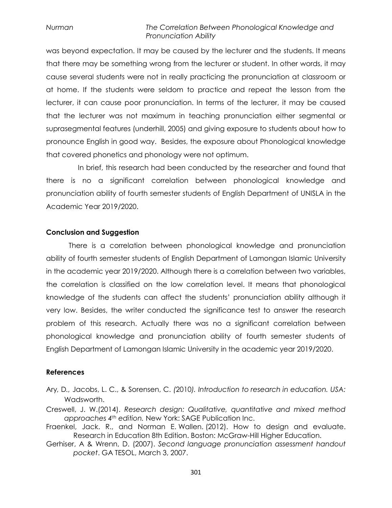was beyond expectation. It may be caused by the lecturer and the students. It means that there may be something wrong from the lecturer or student. In other words, it may cause several students were not in really practicing the pronunciation at classroom or at home. If the students were seldom to practice and repeat the lesson from the lecturer, it can cause poor pronunciation. In terms of the lecturer, it may be caused that the lecturer was not maximum in teaching pronunciation either segmental or suprasegmental features (underhill, 2005) and giving exposure to students about how to pronounce English in good way. Besides, the exposure about Phonological knowledge that covered phonetics and phonology were not optimum.

In brief, this research had been conducted by the researcher and found that there is no a significant correlation between phonological knowledge and pronunciation ability of fourth semester students of English Department of UNISLA in the Academic Year 2019/2020.

### **Conclusion and Suggestion**

There is a correlation between phonological knowledge and pronunciation ability of fourth semester students of English Department of Lamongan Islamic University in the academic year 2019/2020. Although there is a correlation between two variables, the correlation is classified on the low correlation level. It means that phonological knowledge of the students can affect the students" pronunciation ability although it very low. Besides, the writer conducted the significance test to answer the research problem of this research. Actually there was no a significant correlation between phonological knowledge and pronunciation ability of fourth semester students of English Department of Lamongan Islamic University in the academic year 2019/2020.

#### **References**

- Ary*,* D*.,* Jacobs, L. C., & Sorensen, C. *(*2010*). Introduction to research in education. USA:* Wadsworth.
- Creswell, J. W.(2014). *Research design: Qualitative, quantitative and mixed method approaches 4th edition.* New York: SAGE Publication Inc.
- Fraenkel, Jack. R., and Norman E. Wallen. (2012). How to design and evaluate. Research in Education 8th Edition. Boston: McGraw-Hill Higher Education.
- Gerhiser, A & Wrenn, D. (2007). *Second language pronunciation assessment handout pocket*. GA TESOL, March 3, 2007.